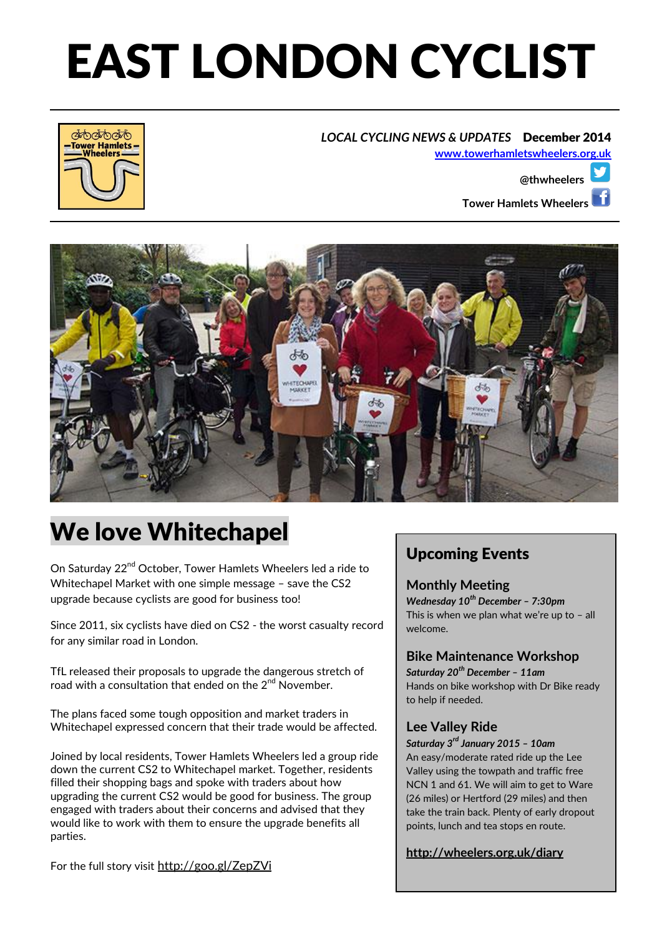# EAST LONDON CYCLIST

#### *LOCAL CYCLING NEWS & UPDATES*December 2014







## We love Whitechapel

On Saturday 22<sup>nd</sup> October, Tower Hamlets Wheelers led a ride to Whitechapel Market with one simple message – save the CS2 upgrade because cyclists are good for business too!

Since 2011, six cyclists have died on CS2 - the worst casualty record for any similar road in London.

TfL released their proposals to upgrade the dangerous stretch of road with a consultation that ended on the  $2^{nd}$  November.

The plans faced some tough opposition and market traders in Whitechapel expressed concern that their trade would be affected.

Joined by local residents, Tower Hamlets Wheelers led a group ride down the current CS2 to Whitechapel market. Together, residents filled their shopping bags and spoke with traders about how upgrading the current CS2 would be good for business. The group engaged with traders about their concerns and advised that they would like to work with them to ensure the upgrade benefits all parties.

For the full story visit http://goo.gl/ZepZVi

### Upcoming Events

#### **Monthly Meeting**

*Wednesday 10th December – 7:30pm* This is when we plan what we're up to – all welcome.

#### **Bike Maintenance Workshop**

*Saturday 20th December – 11am* Hands on bike workshop with Dr Bike ready to help if needed.

#### **Lee Valley Ride**

*Saturday 3rd January 2015 – 10am* An easy/moderate rated ride up the Lee Valley using the towpath and traffic free NCN 1 and 61. We will aim to get to Ware (26 miles) or Hertford (29 miles) and then take the train back. Plenty of early dropout points, lunch and tea stops en route.

**http://wheelers.org.uk/diary**